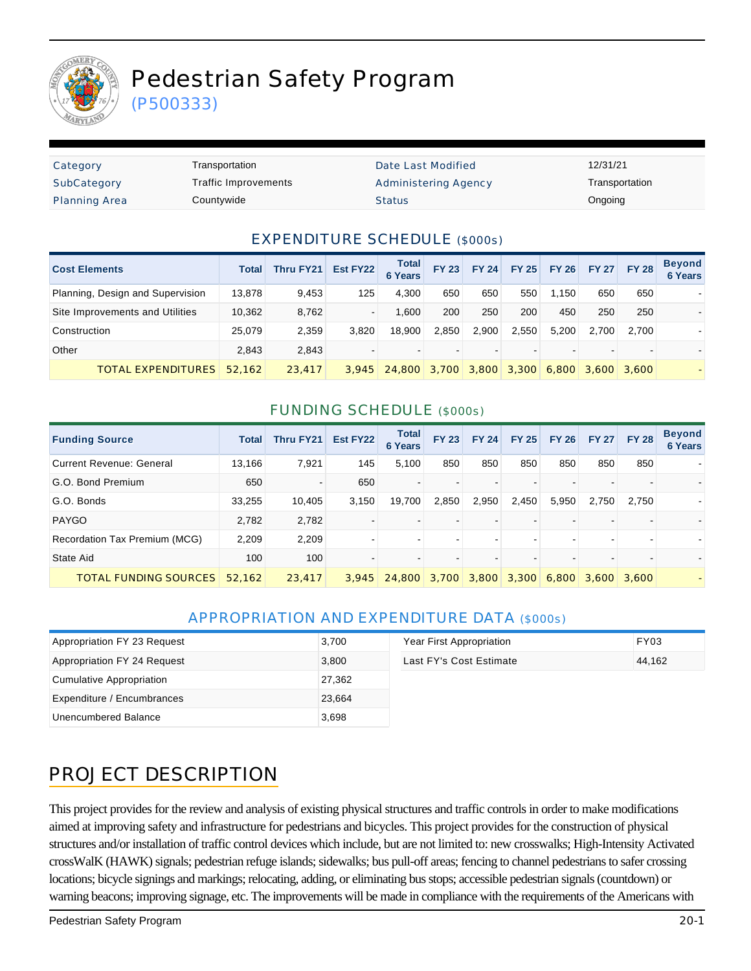

# Pedestrian Safety Program

(P500333)

| Category             | Transportation       | Date Last Modified   | 12/31/21       |
|----------------------|----------------------|----------------------|----------------|
| SubCategory          | Traffic Improvements | Administering Agency | Transportation |
| <b>Planning Area</b> | Countywide           | <b>Status</b>        | Ongoing        |

#### EXPENDITURE SCHEDULE (\$000s)

| <b>Cost Elements</b>             | Total  | <b>Thru FY21</b> | Est FY22 | <b>Total</b><br><b>6 Years</b> | <b>FY 23</b>   | <b>FY 24</b>  | <b>FY 25</b> | <b>FY 26</b> | <b>FY 27</b>  | <b>FY 28</b> | <b>Beyond</b><br><b>6 Years</b> |
|----------------------------------|--------|------------------|----------|--------------------------------|----------------|---------------|--------------|--------------|---------------|--------------|---------------------------------|
| Planning, Design and Supervision | 13,878 | 9.453            | 125      | 4.300                          | 650            | 650           | 550          | 1.150        | 650           | 650          |                                 |
| Site Improvements and Utilities  | 10,362 | 8.762            | $\sim$   | .600                           | 200            | 250           | 200          | 450          | 250           | 250          |                                 |
| Construction                     | 25.079 | 2,359            | 3.820    | 18.900                         | 2.850          | 2.900         | 2.550        | 5.200        | 2.700         | 2.700        |                                 |
| Other                            | 2.843  | 2.843            |          |                                | $\blacksquare$ |               |              |              |               | -            |                                 |
| TOTAL EXPENDITURES               | 52.162 | 23,417           | 3.945    | 24,800 3,700                   |                | $3,800$ 3,300 |              | 6.800        | $3,600$ 3,600 |              |                                 |

#### FUNDING SCHEDULE (\$000s)

| <b>Funding Source</b>         | <b>Total</b> | Thru FY21 | Est FY22 | <b>Total</b><br><b>6 Years</b> | <b>FY 23</b>             | <b>FY 24</b>      | <b>FY 25</b> | <b>FY 26</b> | <b>FY 27</b>                  | <b>FY 28</b> | <b>Beyond</b><br><b>6 Years</b> |
|-------------------------------|--------------|-----------|----------|--------------------------------|--------------------------|-------------------|--------------|--------------|-------------------------------|--------------|---------------------------------|
| Current Revenue: General      | 13,166       | 7,921     | 145      | 5,100                          | 850                      | 850               | 850          | 850          | 850                           | 850          |                                 |
| G.O. Bond Premium             | 650          | ۰         | 650      |                                | $\overline{\phantom{0}}$ |                   |              |              |                               |              |                                 |
| G.O. Bonds                    | 33,255       | 10,405    | 3,150    | 19,700                         | 2.850                    | 2,950             | 2,450        | 5,950        | 2,750                         | 2.750        |                                 |
| <b>PAYGO</b>                  | 2,782        | 2,782     |          |                                |                          |                   |              |              |                               |              |                                 |
| Recordation Tax Premium (MCG) | 2,209        | 2,209     |          |                                | $\blacksquare$           |                   |              |              |                               |              |                                 |
| State Aid                     | 100          | 100       |          |                                |                          |                   |              |              |                               |              |                                 |
| <b>TOTAL FUNDING SOURCES</b>  | 52.162       | 23,417    | 3.945    | 24,800                         |                          | 3,700 3,800 3,300 |              |              | $6.800 \mid 3.600 \mid 3.600$ |              |                                 |

#### APPROPRIATION AND EXPENDITURE DATA (\$000s)

| Appropriation FY 23 Request | 3,700  | Year First Appropriation | <b>FY03</b> |
|-----------------------------|--------|--------------------------|-------------|
| Appropriation FY 24 Request | 3.800  | Last FY's Cost Estimate  | 44.162      |
| Cumulative Appropriation    | 27,362 |                          |             |
| Expenditure / Encumbrances  | 23.664 |                          |             |
| Unencumbered Balance        | 3,698  |                          |             |

### PROJECT DESCRIPTION

This project provides for the review and analysis of existing physical structures and traffic controls in order to make modifications aimed at improving safety and infrastructure for pedestrians and bicycles. This project provides for the construction of physical structures and/or installation of traffic control devices which include, but are not limited to: new crosswalks; High-Intensity Activated crossWalK (HAWK) signals; pedestrian refuge islands; sidewalks; bus pull-off areas; fencing to channel pedestrians to safer crossing locations; bicycle signings and markings; relocating, adding, or eliminating bus stops; accessible pedestrian signals (countdown) or warning beacons; improving signage, etc. The improvements will be made in compliance with the requirements of the Americans with